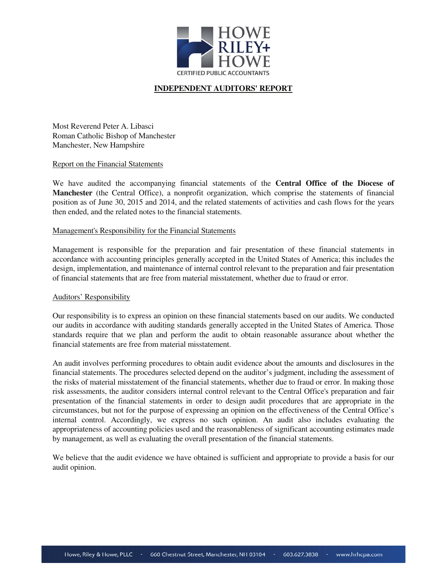

# **INDEPENDENT AUDITORS' REPORT**

Most Reverend Peter A. Libasci Roman Catholic Bishop of Manchester Manchester, New Hampshire

Report on the Financial Statements

We have audited the accompanying financial statements of the **Central Office of the Diocese of Manchester** (the Central Office), a nonprofit organization, which comprise the statements of financial position as of June 30, 2015 and 2014, and the related statements of activities and cash flows for the years then ended, and the related notes to the financial statements.

### Management's Responsibility for the Financial Statements

Management is responsible for the preparation and fair presentation of these financial statements in accordance with accounting principles generally accepted in the United States of America; this includes the design, implementation, and maintenance of internal control relevant to the preparation and fair presentation of financial statements that are free from material misstatement, whether due to fraud or error.

### Auditors' Responsibility

Our responsibility is to express an opinion on these financial statements based on our audits. We conducted our audits in accordance with auditing standards generally accepted in the United States of America. Those standards require that we plan and perform the audit to obtain reasonable assurance about whether the financial statements are free from material misstatement.

An audit involves performing procedures to obtain audit evidence about the amounts and disclosures in the financial statements. The procedures selected depend on the auditor's judgment, including the assessment of the risks of material misstatement of the financial statements, whether due to fraud or error. In making those risk assessments, the auditor considers internal control relevant to the Central Office's preparation and fair presentation of the financial statements in order to design audit procedures that are appropriate in the circumstances, but not for the purpose of expressing an opinion on the effectiveness of the Central Office's internal control. Accordingly, we express no such opinion. An audit also includes evaluating the appropriateness of accounting policies used and the reasonableness of significant accounting estimates made by management, as well as evaluating the overall presentation of the financial statements.

We believe that the audit evidence we have obtained is sufficient and appropriate to provide a basis for our audit opinion.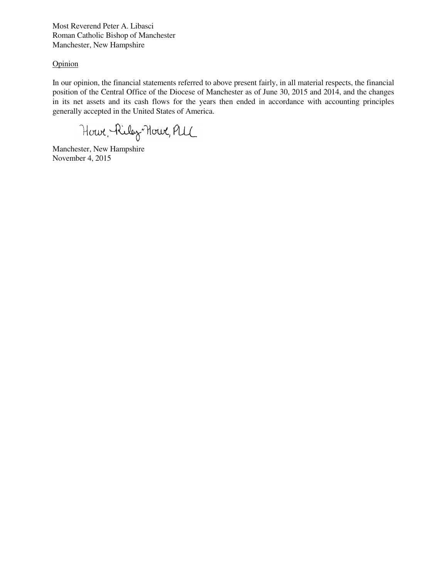Most Reverend Peter A. Libasci Roman Catholic Bishop of Manchester Manchester, New Hampshire

### **Opinion**

In our opinion, the financial statements referred to above present fairly, in all material respects, the financial position of the Central Office of the Diocese of Manchester as of June 30, 2015 and 2014, and the changes in its net assets and its cash flows for the years then ended in accordance with accounting principles generally accepted in the United States of America.

Howe Riley-Howe, PLL

Manchester, New Hampshire November 4, 2015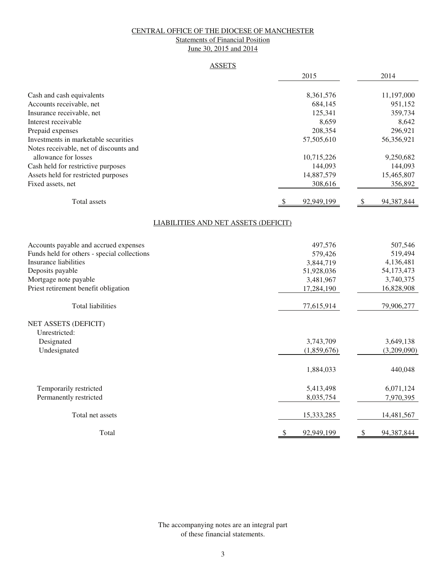# CENTRAL OFFICE OF THE DIOCESE OF MANCHESTER

# Statements of Financial Position June 30, 2015 and 2014

## ASSETS

|                                             | 2015                                        | 2014                     |
|---------------------------------------------|---------------------------------------------|--------------------------|
| Cash and cash equivalents                   | 8,361,576                                   | 11,197,000               |
| Accounts receivable, net                    | 684,145                                     | 951,152                  |
| Insurance receivable, net                   | 125,341                                     | 359,734                  |
| Interest receivable                         | 8,659                                       | 8,642                    |
| Prepaid expenses                            | 208,354                                     | 296,921                  |
| Investments in marketable securities        | 57,505,610                                  | 56,356,921               |
| Notes receivable, net of discounts and      |                                             |                          |
| allowance for losses                        | 10,715,226                                  | 9,250,682                |
| Cash held for restrictive purposes          | 144,093                                     | 144,093                  |
| Assets held for restricted purposes         | 14,887,579                                  | 15,465,807               |
|                                             |                                             |                          |
| Fixed assets, net                           | 308,616                                     | 356,892                  |
| Total assets                                | 92,949,199                                  | 94,387,844<br>$\sqrt{3}$ |
|                                             | <b>LIABILITIES AND NET ASSETS (DEFICIT)</b> |                          |
| Accounts payable and accrued expenses       | 497,576                                     | 507,546                  |
| Funds held for others - special collections | 579,426                                     | 519,494                  |
| Insurance liabilities                       | 3,844,719                                   | 4,136,481                |
| Deposits payable                            | 51,928,036                                  | 54,173,473               |
| Mortgage note payable                       | 3,481,967                                   | 3,740,375                |
| Priest retirement benefit obligation        | 17,284,190                                  | 16,828,908               |
|                                             |                                             |                          |
| <b>Total liabilities</b>                    | 77,615,914                                  | 79,906,277               |
| NET ASSETS (DEFICIT)                        |                                             |                          |
| Unrestricted:                               |                                             |                          |
| Designated                                  | 3,743,709                                   | 3,649,138                |
| Undesignated                                | (1,859,676)                                 | (3,209,090)              |
|                                             | 1,884,033                                   | 440,048                  |
| Temporarily restricted                      | 5,413,498                                   | 6,071,124                |
| Permanently restricted                      | 8,035,754                                   | 7,970,395                |
| Total net assets                            | 15,333,285                                  | 14,481,567               |
| Total                                       | 92,949,199<br>-S                            | 94,387,844<br>\$         |
|                                             |                                             |                          |

The accompanying notes are an integral part of these financial statements.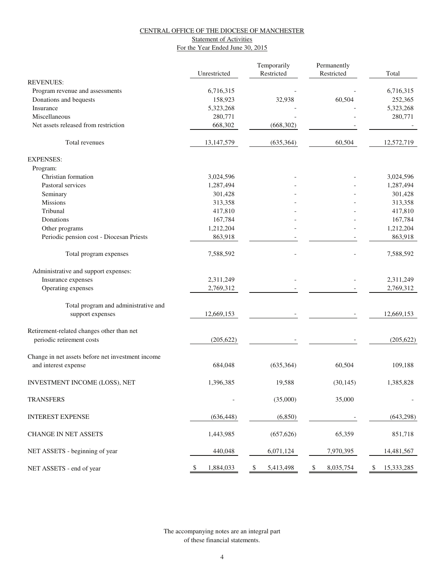### CENTRAL OFFICE OF THE DIOCESE OF MANCHESTER

### Statement of Activities For the Year Ended June 30, 2015

|                                                   |                 | Temporarily     | Permanently     |                  |
|---------------------------------------------------|-----------------|-----------------|-----------------|------------------|
|                                                   | Unrestricted    | Restricted      | Restricted      | Total            |
| <b>REVENUES:</b>                                  |                 |                 |                 |                  |
| Program revenue and assessments                   | 6,716,315       |                 |                 | 6,716,315        |
| Donations and bequests                            | 158,923         | 32,938          | 60,504          | 252,365          |
| Insurance                                         | 5,323,268       |                 |                 | 5,323,268        |
| Miscellaneous                                     | 280,771         |                 |                 | 280,771          |
| Net assets released from restriction              | 668,302         | (668, 302)      |                 |                  |
| Total revenues                                    | 13,147,579      | (635, 364)      | 60,504          | 12,572,719       |
| <b>EXPENSES:</b>                                  |                 |                 |                 |                  |
| Program:                                          |                 |                 |                 |                  |
| Christian formation                               | 3,024,596       |                 |                 | 3,024,596        |
| Pastoral services                                 | 1,287,494       |                 |                 | 1,287,494        |
| Seminary                                          | 301,428         |                 |                 | 301,428          |
| <b>Missions</b>                                   | 313,358         |                 |                 | 313,358          |
| Tribunal                                          | 417,810         |                 |                 | 417,810          |
| Donations                                         | 167,784         |                 |                 | 167,784          |
| Other programs                                    | 1,212,204       |                 |                 | 1,212,204        |
| Periodic pension cost - Diocesan Priests          | 863,918         |                 |                 | 863,918          |
| Total program expenses                            | 7,588,592       |                 |                 | 7,588,592        |
| Administrative and support expenses:              |                 |                 |                 |                  |
| Insurance expenses                                | 2,311,249       |                 |                 | 2,311,249        |
| Operating expenses                                | 2,769,312       |                 |                 | 2,769,312        |
| Total program and administrative and              |                 |                 |                 |                  |
| support expenses                                  | 12,669,153      |                 |                 | 12,669,153       |
| Retirement-related changes other than net         |                 |                 |                 |                  |
| periodic retirement costs                         | (205, 622)      |                 |                 | (205, 622)       |
| Change in net assets before net investment income |                 |                 |                 |                  |
| and interest expense                              | 684,048         | (635, 364)      | 60,504          | 109,188          |
| INVESTMENT INCOME (LOSS), NET                     | 1,396,385       | 19,588          | (30, 145)       | 1,385,828        |
| <b>TRANSFERS</b>                                  |                 | (35,000)        | 35,000          |                  |
| <b>INTEREST EXPENSE</b>                           | (636, 448)      | (6, 850)        |                 | (643, 298)       |
| <b>CHANGE IN NET ASSETS</b>                       | 1,443,985       | (657, 626)      | 65,359          | 851,718          |
| NET ASSETS - beginning of year                    | 440,048         | 6,071,124       | 7,970,395       | 14,481,567       |
| NET ASSETS - end of year                          | \$<br>1,884,033 | 5,413,498<br>\$ | \$<br>8,035,754 | 15,333,285<br>\$ |

of these financial statements. The accompanying notes are an integral part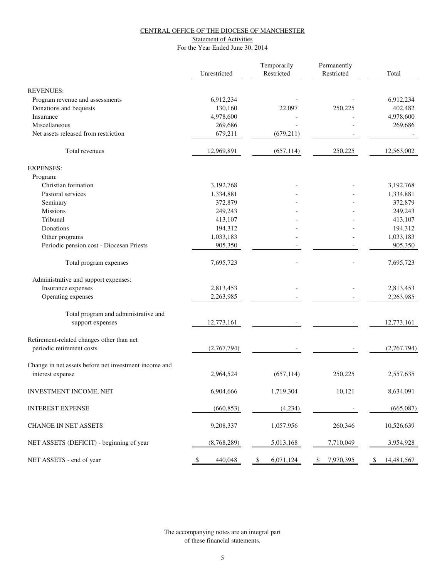### CENTRAL OFFICE OF THE DIOCESE OF MANCHESTER

### **Statement of Activities** For the Year Ended June 30, 2014

|                                                       | Unrestricted  | Temporarily<br>Restricted  | Permanently<br>Restricted | Total            |
|-------------------------------------------------------|---------------|----------------------------|---------------------------|------------------|
|                                                       |               |                            |                           |                  |
| <b>REVENUES:</b>                                      |               |                            |                           |                  |
| Program revenue and assessments                       | 6,912,234     |                            |                           | 6,912,234        |
| Donations and bequests                                | 130,160       | 22,097                     | 250,225                   | 402,482          |
| Insurance                                             | 4,978,600     |                            |                           | 4,978,600        |
| Miscellaneous                                         | 269,686       |                            |                           | 269,686          |
| Net assets released from restriction                  | 679,211       | (679, 211)                 |                           |                  |
| Total revenues                                        | 12,969,891    | (657, 114)                 | 250,225                   | 12,563,002       |
| <b>EXPENSES:</b>                                      |               |                            |                           |                  |
| Program:                                              |               |                            |                           |                  |
| Christian formation                                   | 3,192,768     |                            |                           | 3,192,768        |
| Pastoral services                                     | 1,334,881     |                            |                           | 1,334,881        |
| Seminary                                              | 372,879       |                            |                           | 372,879          |
| <b>Missions</b>                                       | 249,243       |                            |                           | 249,243          |
| Tribunal                                              | 413,107       |                            |                           | 413,107          |
| Donations                                             | 194,312       |                            |                           | 194,312          |
| Other programs                                        | 1,033,183     |                            |                           | 1,033,183        |
| Periodic pension cost - Diocesan Priests              | 905,350       |                            |                           | 905,350          |
| Total program expenses                                | 7,695,723     |                            |                           | 7,695,723        |
| Administrative and support expenses:                  |               |                            |                           |                  |
| Insurance expenses                                    | 2,813,453     |                            |                           | 2,813,453        |
| Operating expenses                                    | 2,263,985     |                            |                           | 2,263,985        |
| Total program and administrative and                  |               |                            |                           |                  |
| support expenses                                      | 12,773,161    |                            |                           | 12,773,161       |
| Retirement-related changes other than net             |               |                            |                           |                  |
| periodic retirement costs                             | (2,767,794)   |                            |                           | (2,767,794)      |
| Change in net assets before net investment income and |               |                            |                           |                  |
| interest expense                                      | 2,964,524     | (657, 114)                 | 250,225                   | 2,557,635        |
| INVESTMENT INCOME, NET                                | 6,904,666     | 1,719,304                  | 10,121                    | 8,634,091        |
| <b>INTEREST EXPENSE</b>                               | (660, 853)    | (4,234)                    |                           | (665,087)        |
| <b>CHANGE IN NET ASSETS</b>                           | 9,208,337     | 1,057,956                  | 260,346                   | 10,526,639       |
| NET ASSETS (DEFICIT) - beginning of year              | (8,768,289)   | 5,013,168                  | 7,710,049                 | 3,954,928        |
| NET ASSETS - end of year                              | 440,048<br>\$ | $\frac{1}{2}$<br>6,071,124 | 7,970,395<br>\$           | 14,481,567<br>\$ |

of these financial statements. The accompanying notes are an integral part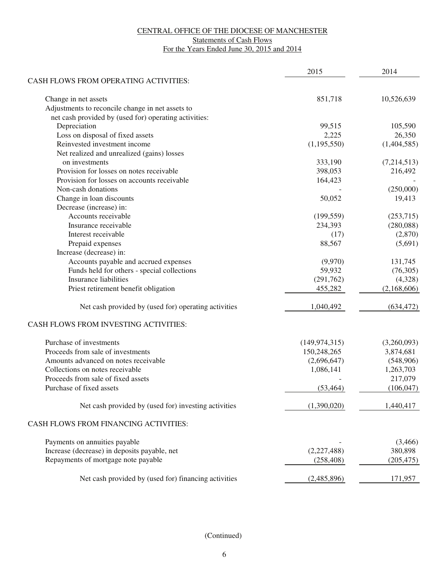## CENTRAL OFFICE OF THE DIOCESE OF MANCHESTER **Statements of Cash Flows** For the Years Ended June 30, 2015 and 2014

|                                                       | 2015            | 2014        |
|-------------------------------------------------------|-----------------|-------------|
| CASH FLOWS FROM OPERATING ACTIVITIES:                 |                 |             |
| Change in net assets                                  | 851,718         | 10,526,639  |
| Adjustments to reconcile change in net assets to      |                 |             |
| net cash provided by (used for) operating activities: |                 |             |
| Depreciation                                          | 99,515          | 105,590     |
| Loss on disposal of fixed assets                      | 2,225           | 26,350      |
| Reinvested investment income                          | (1, 195, 550)   | (1,404,585) |
| Net realized and unrealized (gains) losses            |                 |             |
| on investments                                        | 333,190         | (7,214,513) |
| Provision for losses on notes receivable              | 398,053         | 216,492     |
| Provision for losses on accounts receivable           | 164,423         |             |
| Non-cash donations                                    |                 | (250,000)   |
| Change in loan discounts                              | 50,052          | 19,413      |
| Decrease (increase) in:                               |                 |             |
| Accounts receivable                                   | (199, 559)      | (253,715)   |
| Insurance receivable                                  | 234,393         | (280,088)   |
| Interest receivable                                   | (17)            | (2,870)     |
| Prepaid expenses                                      | 88,567          | (5,691)     |
| Increase (decrease) in:                               |                 |             |
| Accounts payable and accrued expenses                 | (9,970)         | 131,745     |
| Funds held for others - special collections           | 59,932          | (76,305)    |
| <b>Insurance liabilities</b>                          | (291,762)       | (4,328)     |
| Priest retirement benefit obligation                  | 455,282         | (2,168,606) |
| Net cash provided by (used for) operating activities  | 1,040,492       | (634, 472)  |
| CASH FLOWS FROM INVESTING ACTIVITIES:                 |                 |             |
| Purchase of investments                               | (149, 974, 315) | (3,260,093) |
| Proceeds from sale of investments                     | 150,248,265     | 3,874,681   |
| Amounts advanced on notes receivable                  | (2,696,647)     | (548,906)   |
| Collections on notes receivable                       | 1,086,141       | 1,263,703   |
| Proceeds from sale of fixed assets                    |                 | 217,079     |
| Purchase of fixed assets                              | (53, 464)       | (106, 047)  |
| Net cash provided by (used for) investing activities  | (1,390,020)     | 1,440,417   |
| CASH FLOWS FROM FINANCING ACTIVITIES:                 |                 |             |
| Payments on annuities payable                         |                 | (3,466)     |
| Increase (decrease) in deposits payable, net          | (2,227,488)     | 380,898     |
| Repayments of mortgage note payable                   | (258, 408)      | (205, 475)  |
| Net cash provided by (used for) financing activities  | (2,485,896)     | 171,957     |
|                                                       |                 |             |

(Continued)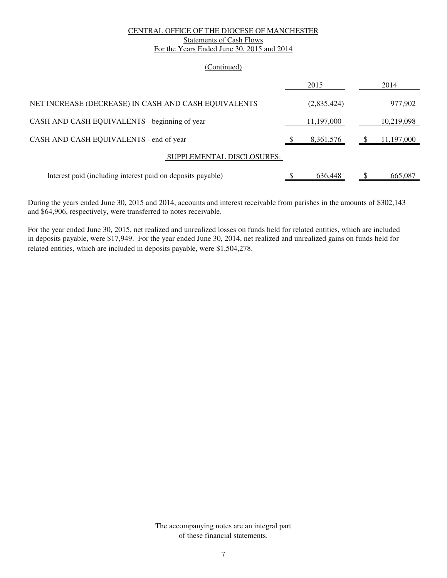### CENTRAL OFFICE OF THE DIOCESE OF MANCHESTER Statements of Cash Flows For the Years Ended June 30, 2015 and 2014

## (Continued)

|                                                             | 2015        | 2014       |
|-------------------------------------------------------------|-------------|------------|
| NET INCREASE (DECREASE) IN CASH AND CASH EQUIVALENTS        | (2,835,424) | 977,902    |
| CASH AND CASH EQUIVALENTS - beginning of year               | 11,197,000  | 10,219,098 |
| CASH AND CASH EQUIVALENTS - end of year                     | 8, 361, 576 | 11,197,000 |
| SUPPLEMENTAL DISCLOSURES:                                   |             |            |
| Interest paid (including interest paid on deposits payable) | 636,448     | 665,087    |

During the years ended June 30, 2015 and 2014, accounts and interest receivable from parishes in the amounts of \$302,143 and \$64,906, respectively, were transferred to notes receivable.

For the year ended June 30, 2015, net realized and unrealized losses on funds held for related entities, which are included in deposits payable, were \$17,949. For the year ended June 30, 2014, net realized and unrealized gains on funds held for related entities, which are included in deposits payable, were \$1,504,278.

> The accompanying notes are an integral part of these financial statements.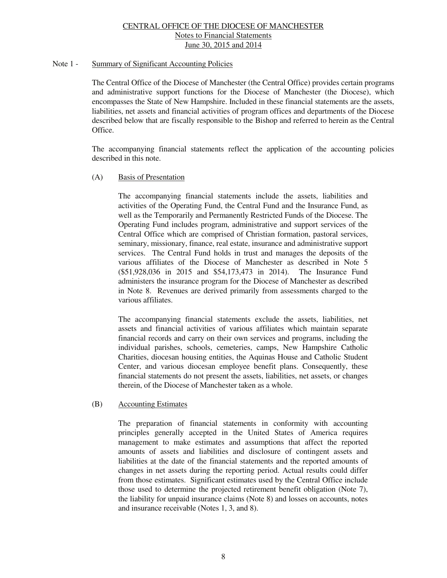## Note 1 - Summary of Significant Accounting Policies

 The Central Office of the Diocese of Manchester (the Central Office) provides certain programs and administrative support functions for the Diocese of Manchester (the Diocese), which encompasses the State of New Hampshire. Included in these financial statements are the assets, liabilities, net assets and financial activities of program offices and departments of the Diocese described below that are fiscally responsible to the Bishop and referred to herein as the Central Office.

 The accompanying financial statements reflect the application of the accounting policies described in this note.

## (A) Basis of Presentation

 The accompanying financial statements include the assets, liabilities and activities of the Operating Fund, the Central Fund and the Insurance Fund, as well as the Temporarily and Permanently Restricted Funds of the Diocese. The Operating Fund includes program, administrative and support services of the Central Office which are comprised of Christian formation, pastoral services, seminary, missionary, finance, real estate, insurance and administrative support services. The Central Fund holds in trust and manages the deposits of the various affiliates of the Diocese of Manchester as described in Note 5 (\$51,928,036 in 2015 and \$54,173,473 in 2014). The Insurance Fund administers the insurance program for the Diocese of Manchester as described in Note 8. Revenues are derived primarily from assessments charged to the various affiliates.

 The accompanying financial statements exclude the assets, liabilities, net assets and financial activities of various affiliates which maintain separate financial records and carry on their own services and programs, including the individual parishes, schools, cemeteries, camps, New Hampshire Catholic Charities, diocesan housing entities, the Aquinas House and Catholic Student Center, and various diocesan employee benefit plans. Consequently, these financial statements do not present the assets, liabilities, net assets, or changes therein, of the Diocese of Manchester taken as a whole.

### (B) Accounting Estimates

 The preparation of financial statements in conformity with accounting principles generally accepted in the United States of America requires management to make estimates and assumptions that affect the reported amounts of assets and liabilities and disclosure of contingent assets and liabilities at the date of the financial statements and the reported amounts of changes in net assets during the reporting period. Actual results could differ from those estimates. Significant estimates used by the Central Office include those used to determine the projected retirement benefit obligation (Note 7), the liability for unpaid insurance claims (Note 8) and losses on accounts, notes and insurance receivable (Notes 1, 3, and 8).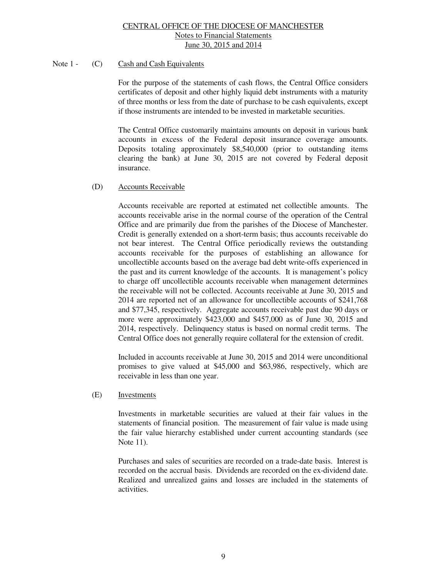# Note 1 - (C) Cash and Cash Equivalents

For the purpose of the statements of cash flows, the Central Office considers certificates of deposit and other highly liquid debt instruments with a maturity of three months or less from the date of purchase to be cash equivalents, except if those instruments are intended to be invested in marketable securities.

The Central Office customarily maintains amounts on deposit in various bank accounts in excess of the Federal deposit insurance coverage amounts. Deposits totaling approximately \$8,540,000 (prior to outstanding items clearing the bank) at June 30, 2015 are not covered by Federal deposit insurance.

# (D) Accounts Receivable

Accounts receivable are reported at estimated net collectible amounts. The accounts receivable arise in the normal course of the operation of the Central Office and are primarily due from the parishes of the Diocese of Manchester. Credit is generally extended on a short-term basis; thus accounts receivable do not bear interest. The Central Office periodically reviews the outstanding accounts receivable for the purposes of establishing an allowance for uncollectible accounts based on the average bad debt write-offs experienced in the past and its current knowledge of the accounts. It is management's policy to charge off uncollectible accounts receivable when management determines the receivable will not be collected. Accounts receivable at June 30, 2015 and 2014 are reported net of an allowance for uncollectible accounts of \$241,768 and \$77,345, respectively. Aggregate accounts receivable past due 90 days or more were approximately \$423,000 and \$457,000 as of June 30, 2015 and 2014, respectively. Delinquency status is based on normal credit terms. The Central Office does not generally require collateral for the extension of credit.

Included in accounts receivable at June 30, 2015 and 2014 were unconditional promises to give valued at \$45,000 and \$63,986, respectively, which are receivable in less than one year.

# (E) Investments

Investments in marketable securities are valued at their fair values in the statements of financial position. The measurement of fair value is made using the fair value hierarchy established under current accounting standards (see Note 11).

Purchases and sales of securities are recorded on a trade-date basis. Interest is recorded on the accrual basis. Dividends are recorded on the ex-dividend date. Realized and unrealized gains and losses are included in the statements of activities.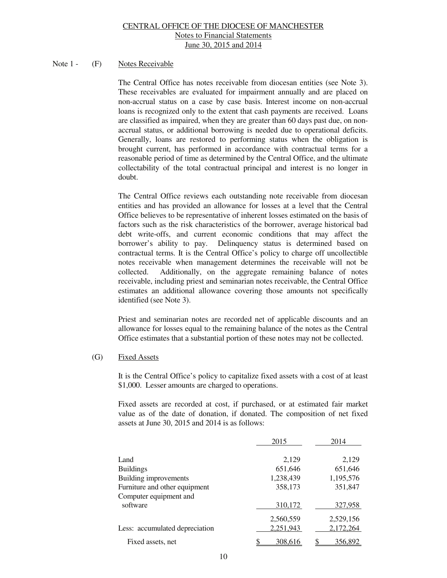# Note 1 - (F) Notes Receivable

The Central Office has notes receivable from diocesan entities (see Note 3). These receivables are evaluated for impairment annually and are placed on non-accrual status on a case by case basis. Interest income on non-accrual loans is recognized only to the extent that cash payments are received. Loans are classified as impaired, when they are greater than 60 days past due, on nonaccrual status, or additional borrowing is needed due to operational deficits. Generally, loans are restored to performing status when the obligation is brought current, has performed in accordance with contractual terms for a reasonable period of time as determined by the Central Office, and the ultimate collectability of the total contractual principal and interest is no longer in doubt.

The Central Office reviews each outstanding note receivable from diocesan entities and has provided an allowance for losses at a level that the Central Office believes to be representative of inherent losses estimated on the basis of factors such as the risk characteristics of the borrower, average historical bad debt write-offs, and current economic conditions that may affect the borrower's ability to pay. Delinquency status is determined based on contractual terms. It is the Central Office's policy to charge off uncollectible notes receivable when management determines the receivable will not be collected. Additionally, on the aggregate remaining balance of notes receivable, including priest and seminarian notes receivable, the Central Office estimates an additional allowance covering those amounts not specifically identified (see Note 3).

Priest and seminarian notes are recorded net of applicable discounts and an allowance for losses equal to the remaining balance of the notes as the Central Office estimates that a substantial portion of these notes may not be collected.

### (G) Fixed Assets

 It is the Central Office's policy to capitalize fixed assets with a cost of at least \$1,000. Lesser amounts are charged to operations.

 Fixed assets are recorded at cost, if purchased, or at estimated fair market value as of the date of donation, if donated. The composition of net fixed assets at June 30, 2015 and 2014 is as follows:

|                                | 2015      | 2014      |
|--------------------------------|-----------|-----------|
| Land                           | 2,129     | 2,129     |
| <b>Buildings</b>               | 651,646   | 651,646   |
| Building improvements          | 1,238,439 | 1,195,576 |
| Furniture and other equipment  | 358,173   | 351,847   |
| Computer equipment and         |           |           |
| software                       | 310,172   | 327,958   |
|                                | 2,560,559 | 2,529,156 |
| Less: accumulated depreciation | 2,251,943 | 2,172,264 |
| Fixed assets, net              | 308,616   | 356,892   |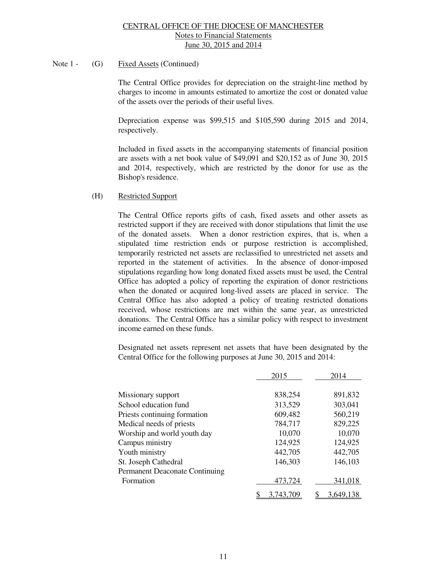# Note 1 - (G) Fixed Assets (Continued)

 The Central Office provides for depreciation on the straight-line method by charges to income in amounts estimated to amortize the cost or donated value of the assets over the periods of their useful lives.

 Depreciation expense was \$99,515 and \$105,590 during 2015 and 2014, respectively.

Included in fixed assets in the accompanying statements of financial position are assets with a net book value of \$49,091 and \$20,152 as of June 30, 2015 and 2014, respectively, which are restricted by the donor for use as the Bishop's residence.

## (H) Restricted Support

 The Central Office reports gifts of cash, fixed assets and other assets as restricted support if they are received with donor stipulations that limit the use of the donated assets. When a donor restriction expires, that is, when a stipulated time restriction ends or purpose restriction is accomplished, temporarily restricted net assets are reclassified to unrestricted net assets and reported in the statement of activities. In the absence of donor-imposed stipulations regarding how long donated fixed assets must be used, the Central Office has adopted a policy of reporting the expiration of donor restrictions when the donated or acquired long-lived assets are placed in service. The Central Office has also adopted a policy of treating restricted donations received, whose restrictions are met within the same year, as unrestricted donations. The Central Office has a similar policy with respect to investment income earned on these funds.

 Designated net assets represent net assets that have been designated by the Central Office for the following purposes at June 30, 2015 and 2014:

|                                | 2015      | 2014      |
|--------------------------------|-----------|-----------|
| Missionary support             | 838,254   | 891,832   |
| School education fund          | 313,529   | 303,041   |
| Priests continuing formation   | 609,482   | 560,219   |
| Medical needs of priests       | 784,717   | 829,225   |
| Worship and world youth day    | 10,070    | 10,070    |
| Campus ministry                | 124,925   | 124,925   |
| Youth ministry                 | 442,705   | 442,705   |
| St. Joseph Cathedral           | 146,303   | 146,103   |
| Permanent Deaconate Continuing |           |           |
| Formation                      | 473,724   | 341,018   |
|                                | 3.743.709 | 3,649,138 |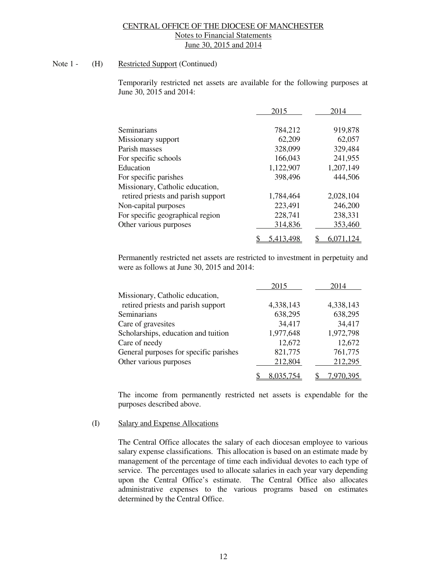# Note 1 - (H) Restricted Support (Continued)

Temporarily restricted net assets are available for the following purposes at June 30, 2015 and 2014:

|                                                                       | 2015      | 2014      |
|-----------------------------------------------------------------------|-----------|-----------|
| <b>Seminarians</b>                                                    | 784,212   | 919,878   |
| Missionary support                                                    | 62,209    | 62,057    |
| Parish masses                                                         | 328,099   | 329,484   |
| For specific schools                                                  | 166,043   | 241,955   |
| Education                                                             | 1,122,907 | 1,207,149 |
| For specific parishes                                                 | 398,496   | 444,506   |
| Missionary, Catholic education,<br>retired priests and parish support | 1,784,464 | 2,028,104 |
| Non-capital purposes                                                  | 223,491   | 246,200   |
| For specific geographical region                                      | 228,741   | 238,331   |
| Other various purposes                                                | 314,836   | 353,460   |
|                                                                       | 5,413,498 | 6.071.124 |

 Permanently restricted net assets are restricted to investment in perpetuity and were as follows at June 30, 2015 and 2014:

|                                        | 2015      | 2014            |
|----------------------------------------|-----------|-----------------|
| Missionary, Catholic education,        |           |                 |
| retired priests and parish support     | 4,338,143 | 4,338,143       |
| Seminarians                            | 638,295   | 638,295         |
| Care of gravesites                     | 34,417    | 34,417          |
| Scholarships, education and tuition    | 1,977,648 | 1,972,798       |
| Care of needy                          | 12,672    | 12,672          |
| General purposes for specific parishes | 821,775   | 761,775         |
| Other various purposes                 | 212,804   | 212,295         |
|                                        | 8,035,754 | <u>970,395.</u> |

The income from permanently restricted net assets is expendable for the purposes described above.

# (I) Salary and Expense Allocations

 The Central Office allocates the salary of each diocesan employee to various salary expense classifications. This allocation is based on an estimate made by management of the percentage of time each individual devotes to each type of service. The percentages used to allocate salaries in each year vary depending upon the Central Office's estimate. The Central Office also allocates administrative expenses to the various programs based on estimates determined by the Central Office.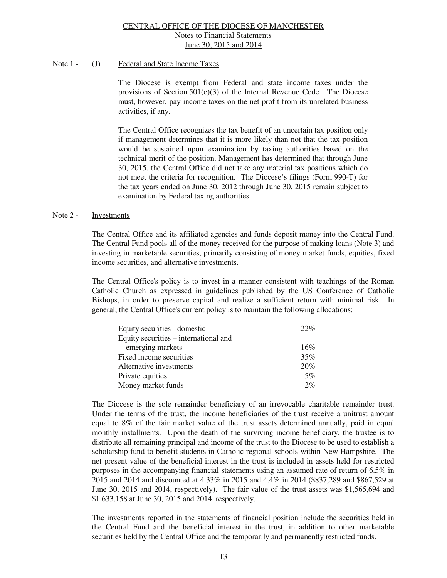## Note 1 - (J) Federal and State Income Taxes

 The Diocese is exempt from Federal and state income taxes under the provisions of Section  $501(c)(3)$  of the Internal Revenue Code. The Diocese must, however, pay income taxes on the net profit from its unrelated business activities, if any.

 The Central Office recognizes the tax benefit of an uncertain tax position only if management determines that it is more likely than not that the tax position would be sustained upon examination by taxing authorities based on the technical merit of the position. Management has determined that through June 30, 2015, the Central Office did not take any material tax positions which do not meet the criteria for recognition. The Diocese's filings (Form 990-T) for the tax years ended on June 30, 2012 through June 30, 2015 remain subject to examination by Federal taxing authorities.

## Note 2 - Investments

 The Central Office and its affiliated agencies and funds deposit money into the Central Fund. The Central Fund pools all of the money received for the purpose of making loans (Note 3) and investing in marketable securities, primarily consisting of money market funds, equities, fixed income securities, and alternative investments.

 The Central Office's policy is to invest in a manner consistent with teachings of the Roman Catholic Church as expressed in guidelines published by the US Conference of Catholic Bishops, in order to preserve capital and realize a sufficient return with minimal risk. In general, the Central Office's current policy is to maintain the following allocations:

| Equity securities - domestic          | $22\%$ |
|---------------------------------------|--------|
| Equity securities – international and |        |
| emerging markets                      | $16\%$ |
| Fixed income securities               | 35%    |
| Alternative investments               | 20%    |
| Private equities                      | $5\%$  |
| Money market funds                    | $2\%$  |

 The Diocese is the sole remainder beneficiary of an irrevocable charitable remainder trust. Under the terms of the trust, the income beneficiaries of the trust receive a unitrust amount equal to 8% of the fair market value of the trust assets determined annually, paid in equal monthly installments. Upon the death of the surviving income beneficiary, the trustee is to distribute all remaining principal and income of the trust to the Diocese to be used to establish a scholarship fund to benefit students in Catholic regional schools within New Hampshire. The net present value of the beneficial interest in the trust is included in assets held for restricted purposes in the accompanying financial statements using an assumed rate of return of 6.5% in 2015 and 2014 and discounted at 4.33% in 2015 and 4.4% in 2014 (\$837,289 and \$867,529 at June 30, 2015 and 2014, respectively). The fair value of the trust assets was \$1,565,694 and \$1,633,158 at June 30, 2015 and 2014, respectively.

 The investments reported in the statements of financial position include the securities held in the Central Fund and the beneficial interest in the trust, in addition to other marketable securities held by the Central Office and the temporarily and permanently restricted funds.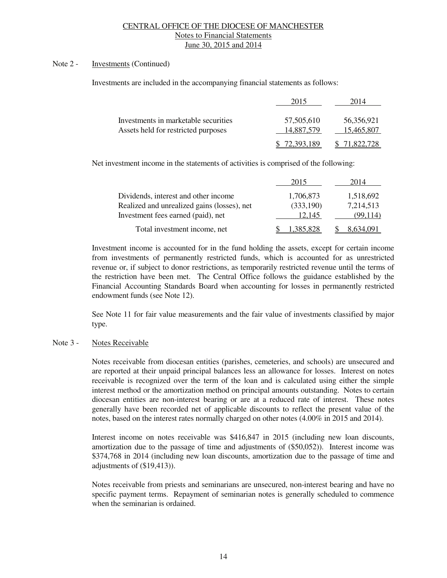## Note 2 - Investments (Continued)

Investments are included in the accompanying financial statements as follows:

|                                                                             | 2015                     | 2014                     |
|-----------------------------------------------------------------------------|--------------------------|--------------------------|
| Investments in marketable securities<br>Assets held for restricted purposes | 57,505,610<br>14,887,579 | 56,356,921<br>15,465,807 |
|                                                                             | 72,393,189               | 71,822,728               |

Net investment income in the statements of activities is comprised of the following:

|                                             |           | 2014      |
|---------------------------------------------|-----------|-----------|
| Dividends, interest and other income        | 1,706,873 | 1,518,692 |
| Realized and unrealized gains (losses), net | (333,190) | 7,214,513 |
| Investment fees earned (paid), net          | 12.145    | (99,114)  |
| Total investment income, net                | 1,385,828 | 8,634,091 |

Investment income is accounted for in the fund holding the assets, except for certain income from investments of permanently restricted funds, which is accounted for as unrestricted revenue or, if subject to donor restrictions, as temporarily restricted revenue until the terms of the restriction have been met. The Central Office follows the guidance established by the Financial Accounting Standards Board when accounting for losses in permanently restricted endowment funds (see Note 12).

 See Note 11 for fair value measurements and the fair value of investments classified by major type.

# Note 3 - Notes Receivable

Notes receivable from diocesan entities (parishes, cemeteries, and schools) are unsecured and are reported at their unpaid principal balances less an allowance for losses. Interest on notes receivable is recognized over the term of the loan and is calculated using either the simple interest method or the amortization method on principal amounts outstanding. Notes to certain diocesan entities are non-interest bearing or are at a reduced rate of interest. These notes generally have been recorded net of applicable discounts to reflect the present value of the notes, based on the interest rates normally charged on other notes (4.00% in 2015 and 2014).

Interest income on notes receivable was \$416,847 in 2015 (including new loan discounts, amortization due to the passage of time and adjustments of (\$50,052)). Interest income was \$374,768 in 2014 (including new loan discounts, amortization due to the passage of time and adjustments of (\$19,413)).

Notes receivable from priests and seminarians are unsecured, non-interest bearing and have no specific payment terms. Repayment of seminarian notes is generally scheduled to commence when the seminarian is ordained.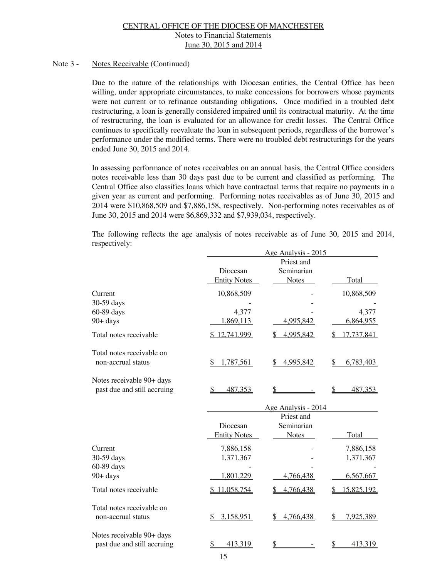### Note 3 - Notes Receivable (Continued)

Due to the nature of the relationships with Diocesan entities, the Central Office has been willing, under appropriate circumstances, to make concessions for borrowers whose payments were not current or to refinance outstanding obligations. Once modified in a troubled debt restructuring, a loan is generally considered impaired until its contractual maturity. At the time of restructuring, the loan is evaluated for an allowance for credit losses. The Central Office continues to specifically reevaluate the loan in subsequent periods, regardless of the borrower's performance under the modified terms. There were no troubled debt restructurings for the years ended June 30, 2015 and 2014.

In assessing performance of notes receivables on an annual basis, the Central Office considers notes receivable less than 30 days past due to be current and classified as performing. The Central Office also classifies loans which have contractual terms that require no payments in a given year as current and performing. Performing notes receivables as of June 30, 2015 and 2014 were \$10,868,509 and \$7,886,158, respectively. Non-performing notes receivables as of June 30, 2015 and 2014 were \$6,869,332 and \$7,939,034, respectively.

The following reflects the age analysis of notes receivable as of June 30, 2015 and 2014, respectively:

|                                                          |                     | Age Analysis - 2015     |                  |  |  |  |
|----------------------------------------------------------|---------------------|-------------------------|------------------|--|--|--|
|                                                          |                     | Priest and              |                  |  |  |  |
|                                                          | Diocesan            | Seminarian              |                  |  |  |  |
|                                                          | <b>Entity Notes</b> | <b>Notes</b>            | Total            |  |  |  |
| Current                                                  | 10,868,509          |                         | 10,868,509       |  |  |  |
| 30-59 days                                               |                     |                         |                  |  |  |  |
| 60-89 days                                               | 4,377               |                         | 4,377            |  |  |  |
| $90+$ days                                               | 1,869,113           | 4,995,842               | 6,864,955        |  |  |  |
| Total notes receivable                                   | \$12,741,999        | 4,995,842               | 17,737,841       |  |  |  |
| Total notes receivable on                                |                     |                         |                  |  |  |  |
| non-accrual status                                       | 1,787,561<br>\$     | 4,995,842               | 6,783,403<br>\$. |  |  |  |
| Notes receivable 90+ days<br>past due and still accruing | 487,353<br>S        |                         | 487,353          |  |  |  |
|                                                          | Age Analysis - 2014 |                         |                  |  |  |  |
|                                                          |                     | Priest and              |                  |  |  |  |
|                                                          | Diocesan            | Seminarian              |                  |  |  |  |
|                                                          | <b>Entity Notes</b> | <b>Notes</b>            | Total            |  |  |  |
| Current                                                  | 7,886,158           |                         | 7,886,158        |  |  |  |
| 30-59 days                                               | 1,371,367           |                         | 1,371,367        |  |  |  |
| 60-89 days                                               |                     |                         |                  |  |  |  |
| $90+$ days                                               | 1,801,229           | 4,766,438               | 6,567,667        |  |  |  |
| Total notes receivable                                   | 11,058,754          | 4,766,438               | 15,825,192       |  |  |  |
| Total notes receivable on<br>non-accrual status          | 3,158,951<br>S      | 4,766,438               | 7,925,389        |  |  |  |
| Notes receivable 90+ days                                |                     |                         |                  |  |  |  |
| past due and still accruing                              | 413,319<br>\$       | $\overline{\mathbb{S}}$ | 413,319          |  |  |  |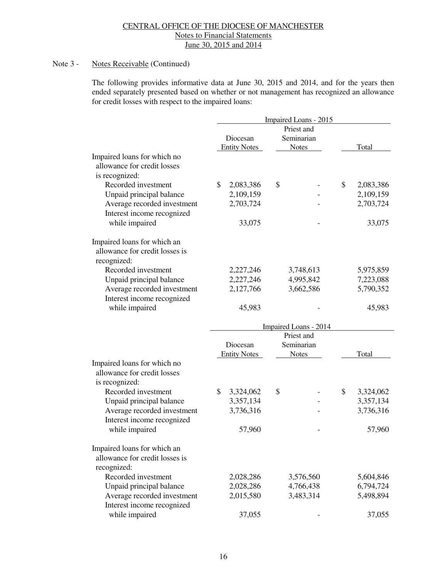# Note 3 - Notes Receivable (Continued)

The following provides informative data at June 30, 2015 and 2014, and for the years then ended separately presented based on whether or not management has recognized an allowance for credit losses with respect to the impaired loans:

|                                              |                     | Impaired Loans - 2015 |                 |
|----------------------------------------------|---------------------|-----------------------|-----------------|
|                                              |                     | Priest and            |                 |
|                                              | Diocesan            | Seminarian            |                 |
|                                              | <b>Entity Notes</b> | <b>Notes</b>          | Total           |
| Impaired loans for which no                  |                     |                       |                 |
| allowance for credit losses                  |                     |                       |                 |
| is recognized:                               |                     |                       |                 |
| Recorded investment                          | \$<br>2,083,386     | \$                    | \$<br>2,083,386 |
| Unpaid principal balance                     | 2,109,159           |                       | 2,109,159       |
| Average recorded investment                  | 2,703,724           |                       | 2,703,724       |
| Interest income recognized                   |                     |                       |                 |
| while impaired                               | 33,075              |                       | 33,075          |
|                                              |                     |                       |                 |
| Impaired loans for which an                  |                     |                       |                 |
| allowance for credit losses is               |                     |                       |                 |
| recognized:                                  |                     |                       |                 |
| Recorded investment                          | 2,227,246           | 3,748,613             | 5,975,859       |
| Unpaid principal balance                     | 2,227,246           | 4,995,842             | 7,223,088       |
| Average recorded investment                  | 2,127,766           | 3,662,586             | 5,790,352       |
| Interest income recognized                   |                     |                       |                 |
| while impaired                               | 45,983              |                       | 45,983          |
|                                              |                     |                       |                 |
|                                              |                     | Impaired Loans - 2014 |                 |
|                                              |                     | Priest and            |                 |
|                                              | Diocesan            | Seminarian            |                 |
|                                              | <b>Entity Notes</b> | <b>Notes</b>          | Total           |
| Impaired loans for which no                  |                     |                       |                 |
| allowance for credit losses                  |                     |                       |                 |
| is recognized:                               |                     |                       |                 |
| Recorded investment                          | \$<br>3,324,062     | \$                    | \$<br>3,324,062 |
| Unpaid principal balance                     | 3,357,134           |                       | 3,357,134       |
| Average recorded investment                  | 3,736,316           |                       | 3,736,316       |
| Interest income recognized                   |                     |                       |                 |
| while impaired                               | 57,960              |                       | 57,960          |
|                                              |                     |                       |                 |
| Impaired loans for which an                  |                     |                       |                 |
| allowance for credit losses is               |                     |                       |                 |
| recognized:                                  |                     |                       |                 |
| Recorded investment                          | 2,028,286           | 3,576,560             | 5,604,846       |
| Unpaid principal balance                     | 2,028,286           | 4,766,438             | 6,794,724       |
|                                              |                     |                       |                 |
| Average recorded investment                  | 2,015,580           | 3,483,314             | 5,498,894       |
| Interest income recognized<br>while impaired |                     |                       | 37,055          |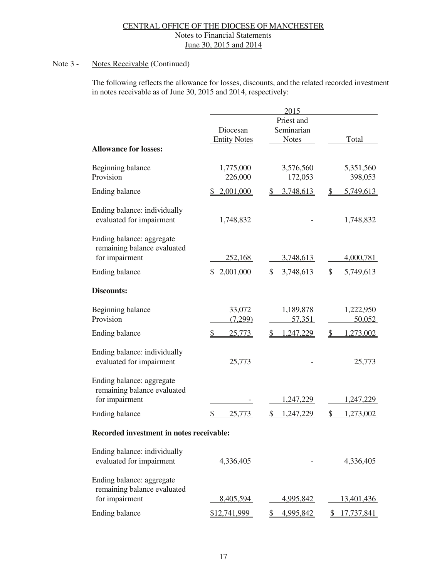# Note 3 - Notes Receivable (Continued)

The following reflects the allowance for losses, discounts, and the related recorded investment in notes receivable as of June 30, 2015 and 2014, respectively:

|                                                          |                     | 2015         |                   |
|----------------------------------------------------------|---------------------|--------------|-------------------|
|                                                          |                     | Priest and   |                   |
|                                                          | Diocesan            | Seminarian   |                   |
|                                                          | <b>Entity Notes</b> | <b>Notes</b> | Total             |
| <b>Allowance for losses:</b>                             |                     |              |                   |
| Beginning balance                                        | 1,775,000           | 3,576,560    | 5,351,560         |
| Provision                                                | 226,000             | 172,053      | 398,053           |
| Ending balance                                           | \$2,001,000         | 3,748,613    | \$<br>5,749,613   |
| Ending balance: individually<br>evaluated for impairment | 1,748,832           |              | 1,748,832         |
| Ending balance: aggregate<br>remaining balance evaluated |                     |              |                   |
| for impairment                                           | 252,168             | 3,748,613    | 4,000,781         |
| Ending balance                                           | \$2,001,000         | 3,748,613    | \$<br>5,749,613   |
| <b>Discounts:</b>                                        |                     |              |                   |
| Beginning balance                                        | 33,072              | 1,189,878    | 1,222,950         |
| Provision                                                | (7,299)             | 57,351       | 50,052            |
| Ending balance                                           | \$<br>25,773        | 1,247,229    | \$<br>1,273,002   |
| Ending balance: individually<br>evaluated for impairment | 25,773              |              | 25,773            |
| Ending balance: aggregate<br>remaining balance evaluated |                     |              |                   |
| for impairment                                           |                     | 1,247,229    | 1,247,229         |
| <b>Ending balance</b>                                    | \$<br>25,773        | 1,247,229    | \$<br>1,273,002   |
| Recorded investment in notes receivable:                 |                     |              |                   |
| Ending balance: individually<br>evaluated for impairment | 4,336,405           |              | 4,336,405         |
| Ending balance: aggregate<br>remaining balance evaluated |                     |              |                   |
| for impairment                                           | 8,405,594           | 4,995,842    | 13,401,436        |
| <b>Ending balance</b>                                    | <u>\$12,741,999</u> | 4,995,842    | <u>17,737,841</u> |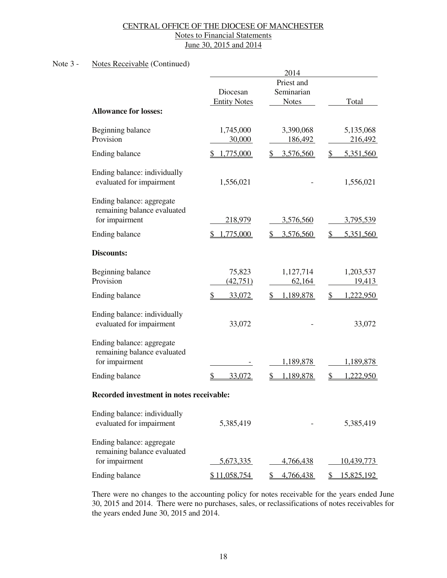# Note 3 - Notes Receivable (Continued)

|                                                                            |                            | 2014            |                        |
|----------------------------------------------------------------------------|----------------------------|-----------------|------------------------|
|                                                                            |                            | Priest and      |                        |
|                                                                            | Diocesan                   | Seminarian      |                        |
|                                                                            | <b>Entity Notes</b>        | <b>Notes</b>    | Total                  |
| <b>Allowance for losses:</b>                                               |                            |                 |                        |
| Beginning balance                                                          | 1,745,000                  | 3,390,068       | 5,135,068              |
| Provision                                                                  | 30,000                     | 186,492         | 216,492                |
| <b>Ending balance</b>                                                      | \$1,775,000                | 3,576,560       | 5,351,560<br>\$        |
| Ending balance: individually<br>evaluated for impairment                   | 1,556,021                  |                 | 1,556,021              |
| Ending balance: aggregate<br>remaining balance evaluated                   |                            |                 |                        |
| for impairment                                                             | 218,979                    | 3,576,560       | 3,795,539              |
| Ending balance                                                             | 1,775,000<br>$\frac{1}{2}$ | 3,576,560       | <u>5,351,560</u><br>\$ |
| <b>Discounts:</b>                                                          |                            |                 |                        |
| Beginning balance                                                          | 75,823                     | 1,127,714       | 1,203,537              |
| Provision                                                                  | (42,751)                   | 62,164          | <u>19,413</u>          |
| <b>Ending balance</b>                                                      | \$<br>33,072               | 1,189,878<br>\$ | \$<br>1,222,950        |
| Ending balance: individually<br>evaluated for impairment                   | 33,072                     |                 | 33,072                 |
| Ending balance: aggregate<br>remaining balance evaluated<br>for impairment |                            | 1,189,878       | 1,189,878              |
| <b>Ending balance</b>                                                      | 33,072<br>\$               | 1,189,878       | 1,222,950<br>S         |
|                                                                            |                            |                 |                        |
| <b>Recorded investment in notes receivable:</b>                            |                            |                 |                        |
| Ending balance: individually<br>evaluated for impairment                   | 5,385,419                  |                 | 5,385,419              |
| Ending balance: aggregate<br>remaining balance evaluated<br>for impairment |                            |                 |                        |
|                                                                            | <u>5,673,335</u>           | 4,766,438       | 10,439,773             |
| <b>Ending balance</b>                                                      | \$11,058,754               | \$<br>4,766,438 | <u>15,825,192</u><br>Ж |

There were no changes to the accounting policy for notes receivable for the years ended June 30, 2015 and 2014. There were no purchases, sales, or reclassifications of notes receivables for the years ended June 30, 2015 and 2014.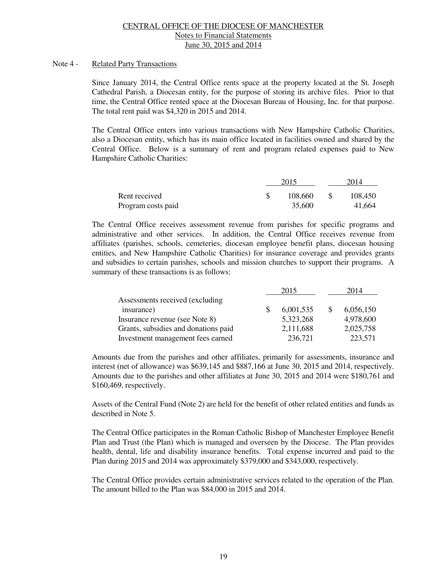### Note 4 - Related Party Transactions

 Since January 2014, the Central Office rents space at the property located at the St. Joseph Cathedral Parish, a Diocesan entity, for the purpose of storing its archive files. Prior to that time, the Central Office rented space at the Diocesan Bureau of Housing, Inc. for that purpose. The total rent paid was \$4,320 in 2015 and 2014.

 The Central Office enters into various transactions with New Hampshire Catholic Charities, also a Diocesan entity, which has its main office located in facilities owned and shared by the Central Office. Below is a summary of rent and program related expenses paid to New Hampshire Catholic Charities:

|                    | 2015 |         | 2014         |         |
|--------------------|------|---------|--------------|---------|
| Rent received      |      | 108,660 | <sup>S</sup> | 108,450 |
| Program costs paid |      | 35,600  |              | 41,664  |

 The Central Office receives assessment revenue from parishes for specific programs and administrative and other services. In addition, the Central Office receives revenue from affiliates (parishes, schools, cemeteries, diocesan employee benefit plans, diocesan housing entities, and New Hampshire Catholic Charities) for insurance coverage and provides grants and subsidies to certain parishes, schools and mission churches to support their programs. A summary of these transactions is as follows:

|                                      | 2015      | 2014      |
|--------------------------------------|-----------|-----------|
| Assessments received (excluding      |           |           |
| insurance)                           | 6,001,535 | 6,056,150 |
| Insurance revenue (see Note 8)       | 5,323,268 | 4,978,600 |
| Grants, subsidies and donations paid | 2,111,688 | 2,025,758 |
| Investment management fees earned    | 236,721   | 223,571   |

 Amounts due from the parishes and other affiliates, primarily for assessments, insurance and interest (net of allowance) was \$639,145 and \$887,166 at June 30, 2015 and 2014, respectively. Amounts due to the parishes and other affiliates at June 30, 2015 and 2014 were \$180,761 and \$160,469, respectively.

 Assets of the Central Fund (Note 2) are held for the benefit of other related entities and funds as described in Note 5.

The Central Office participates in the Roman Catholic Bishop of Manchester Employee Benefit Plan and Trust (the Plan) which is managed and overseen by the Diocese. The Plan provides health, dental, life and disability insurance benefits. Total expense incurred and paid to the Plan during 2015 and 2014 was approximately \$379,000 and \$343,000, respectively.

The Central Office provides certain administrative services related to the operation of the Plan. The amount billed to the Plan was \$84,000 in 2015 and 2014.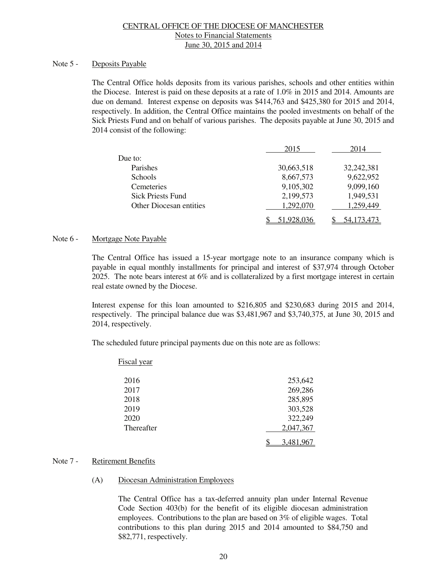# Note 5 - Deposits Payable

 The Central Office holds deposits from its various parishes, schools and other entities within the Diocese. Interest is paid on these deposits at a rate of 1.0% in 2015 and 2014. Amounts are due on demand. Interest expense on deposits was \$414,763 and \$425,380 for 2015 and 2014, respectively. In addition, the Central Office maintains the pooled investments on behalf of the Sick Priests Fund and on behalf of various parishes. The deposits payable at June 30, 2015 and 2014 consist of the following:

|                                | 2015       | 2014       |
|--------------------------------|------------|------------|
| Due to:                        |            |            |
| Parishes                       | 30,663,518 | 32,242,381 |
| Schools                        | 8,667,573  | 9,622,952  |
| Cemeteries                     | 9,105,302  | 9,099,160  |
| <b>Sick Priests Fund</b>       | 2,199,573  | 1,949,531  |
| <b>Other Diocesan entities</b> | 1,292,070  | 1,259,449  |
|                                | 51,928,036 | 54.173.473 |

## Note 6 - Mortgage Note Payable

 $E_{\text{cool}}$  year

The Central Office has issued a 15-year mortgage note to an insurance company which is payable in equal monthly installments for principal and interest of \$37,974 through October 2025. The note bears interest at 6% and is collateralized by a first mortgage interest in certain real estate owned by the Diocese.

Interest expense for this loan amounted to \$216,805 and \$230,683 during 2015 and 2014, respectively. The principal balance due was \$3,481,967 and \$3,740,375, at June 30, 2015 and 2014, respectively.

The scheduled future principal payments due on this note are as follows:

| <b>FISCAL VEAL</b> |           |
|--------------------|-----------|
| 2016               | 253,642   |
| 2017               | 269,286   |
| 2018               | 285,895   |
| 2019               | 303,528   |
| 2020               | 322,249   |
| Thereafter         | 2,047,367 |
|                    | 3,481,967 |

# Note 7 - Retirement Benefits

### (A) Diocesan Administration Employees

The Central Office has a tax-deferred annuity plan under Internal Revenue Code Section 403(b) for the benefit of its eligible diocesan administration employees. Contributions to the plan are based on 3% of eligible wages. Total contributions to this plan during 2015 and 2014 amounted to \$84,750 and \$82,771, respectively.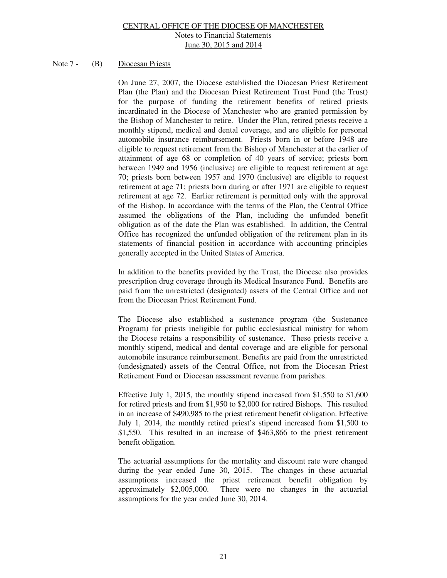# Note 7 - (B) Diocesan Priests

On June 27, 2007, the Diocese established the Diocesan Priest Retirement Plan (the Plan) and the Diocesan Priest Retirement Trust Fund (the Trust) for the purpose of funding the retirement benefits of retired priests incardinated in the Diocese of Manchester who are granted permission by the Bishop of Manchester to retire. Under the Plan, retired priests receive a monthly stipend, medical and dental coverage, and are eligible for personal automobile insurance reimbursement. Priests born in or before 1948 are eligible to request retirement from the Bishop of Manchester at the earlier of attainment of age 68 or completion of 40 years of service; priests born between 1949 and 1956 (inclusive) are eligible to request retirement at age 70; priests born between 1957 and 1970 (inclusive) are eligible to request retirement at age 71; priests born during or after 1971 are eligible to request retirement at age 72. Earlier retirement is permitted only with the approval of the Bishop. In accordance with the terms of the Plan, the Central Office assumed the obligations of the Plan, including the unfunded benefit obligation as of the date the Plan was established. In addition, the Central Office has recognized the unfunded obligation of the retirement plan in its statements of financial position in accordance with accounting principles generally accepted in the United States of America.

In addition to the benefits provided by the Trust, the Diocese also provides prescription drug coverage through its Medical Insurance Fund. Benefits are paid from the unrestricted (designated) assets of the Central Office and not from the Diocesan Priest Retirement Fund.

The Diocese also established a sustenance program (the Sustenance Program) for priests ineligible for public ecclesiastical ministry for whom the Diocese retains a responsibility of sustenance. These priests receive a monthly stipend, medical and dental coverage and are eligible for personal automobile insurance reimbursement. Benefits are paid from the unrestricted (undesignated) assets of the Central Office, not from the Diocesan Priest Retirement Fund or Diocesan assessment revenue from parishes.

Effective July 1, 2015, the monthly stipend increased from \$1,550 to \$1,600 for retired priests and from \$1,950 to \$2,000 for retired Bishops. This resulted in an increase of \$490,985 to the priest retirement benefit obligation. Effective July 1, 2014, the monthly retired priest's stipend increased from \$1,500 to \$1,550. This resulted in an increase of \$463,866 to the priest retirement benefit obligation.

The actuarial assumptions for the mortality and discount rate were changed during the year ended June 30, 2015. The changes in these actuarial assumptions increased the priest retirement benefit obligation by approximately \$2,005,000. There were no changes in the actuarial assumptions for the year ended June 30, 2014.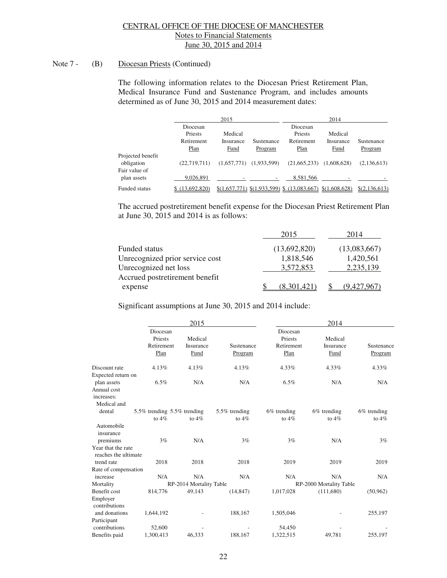# Note 7 - (B) Diocesan Priests (Continued)

The following information relates to the Diocesan Priest Retirement Plan, Medical Insurance Fund and Sustenance Program, and includes amounts determined as of June 30, 2015 and 2014 measurement dates:

|                                                  |                | 2015        |             |                                             | 2014          |               |
|--------------------------------------------------|----------------|-------------|-------------|---------------------------------------------|---------------|---------------|
|                                                  | Diocesan       |             |             | Diocesan                                    |               |               |
|                                                  | Priests        | Medical     |             | Priests                                     | Medical       |               |
|                                                  | Retirement     | Insurance   | Sustenance  | Retirement                                  | Insurance     | Sustenance    |
|                                                  | Plan           | Fund        | Program     | Plan                                        | Fund          | Program       |
| Projected benefit<br>obligation<br>Fair value of | (22, 719, 711) | (1,657,771) | (1,933,599) | (21,665,233)                                | (1,608,628)   | (2,136,613)   |
| plan assets                                      | 9.026.891      |             |             | 8.581.566                                   |               |               |
| Funded status                                    | (13,692,820)   |             |             | $$(1,657,771) $(1,933,599) $ ($13,083,667)$ | \$(1,608,628) | \$(2,136,613) |

The accrued postretirement benefit expense for the Diocesan Priest Retirement Plan at June 30, 2015 and 2014 is as follows:

|                                 | 2015         | 2014         |
|---------------------------------|--------------|--------------|
| Funded status                   | (13,692,820) | (13,083,667) |
| Unrecognized prior service cost | 1,818,546    | 1,420,561    |
| Unrecognized net loss           | 3,572,853    | 2,235,139    |
| Accrued postretirement benefit  |              |              |
| expense                         | (8,301,421)  | (9.427.967)  |

Significant assumptions at June 30, 2015 and 2014 include:

|                                            |                             | 2015                    |                       |                     | 2014                    |                       |
|--------------------------------------------|-----------------------------|-------------------------|-----------------------|---------------------|-------------------------|-----------------------|
|                                            | Diocesan<br>Priests         | Medical                 |                       | Diocesan<br>Priests | Medical                 |                       |
|                                            | Retirement<br>Plan          | Insurance<br>Fund       | Sustenance<br>Program | Retirement<br>Plan  | Insurance<br>Fund       | Sustenance<br>Program |
| Discount rate                              | 4.13%                       | 4.13%                   | 4.13%                 | 4.33%               | 4.33%                   | 4.33%                 |
| Expected return on                         |                             |                         |                       |                     |                         |                       |
| plan assets                                | 6.5%                        | N/A                     | N/A                   | $6.5\%$             | N/A                     | N/A                   |
| Annual cost                                |                             |                         |                       |                     |                         |                       |
| increases:                                 |                             |                         |                       |                     |                         |                       |
| Medical and                                |                             |                         |                       |                     |                         |                       |
| dental                                     | 5.5% trending 5.5% trending |                         | 5.5% trending         | 6% trending         | 6% trending             | 6% trending           |
|                                            | to $4\%$                    | to $4\%$                | to $4\%$              | to $4\%$            | to $4\%$                | to $4\%$              |
| Automobile<br>insurance                    |                             |                         |                       |                     |                         |                       |
| premiums                                   | 3%                          | N/A                     | 3%                    | 3%                  | N/A                     | 3%                    |
| Year that the rate<br>reaches the ultimate |                             |                         |                       |                     |                         |                       |
| trend rate                                 | 2018                        | 2018                    | 2018                  | 2019                | 2019                    | 2019                  |
| Rate of compensation                       |                             |                         |                       |                     |                         |                       |
| increase                                   | N/A                         | N/A                     | N/A                   | N/A                 | N/A                     | N/A                   |
| Mortality                                  |                             | RP-2014 Mortality Table |                       |                     | RP-2000 Mortality Table |                       |
| Benefit cost<br>Employer<br>contributions  | 814,776                     | 49,143                  | (14, 847)             | 1,017,028           | (111,680)               | (50, 962)             |
| and donations                              | 1,644,192                   |                         | 188,167               | 1,505,046           |                         | 255,197               |
| Participant                                |                             |                         |                       |                     |                         |                       |
| contributions                              | 52,600                      |                         |                       | 54,450              |                         |                       |
| Benefits paid                              | 1,300,413                   | 46,333                  | 188,167               | 1,322,515           | 49,781                  | 255,197               |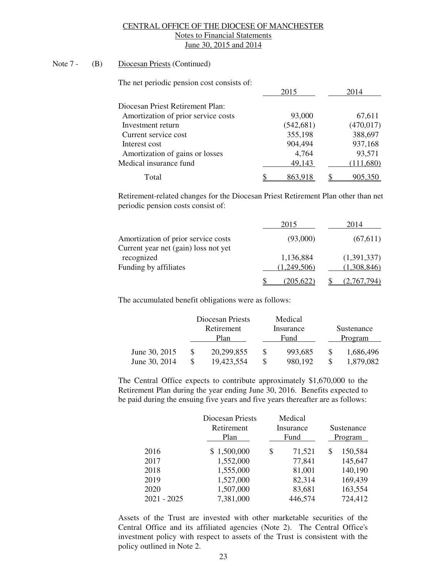# Note 7 - (B) Diocesan Priests (Continued)

| The net periodic pension cost consists of: |            |            |
|--------------------------------------------|------------|------------|
|                                            | 2015       | 2014       |
| Diocesan Priest Retirement Plan:           |            |            |
| Amortization of prior service costs        | 93,000     | 67,611     |
| Investment return                          | (542, 681) | (470, 017) |
| Current service cost                       | 355,198    | 388,697    |
| Interest cost                              | 904,494    | 937,168    |
| Amortization of gains or losses            | 4,764      | 93,571     |
| Medical insurance fund                     | 49,143     | (111,680)  |
| Total                                      | 863,918    | 905,350    |

Retirement-related changes for the Diocesan Priest Retirement Plan other than net periodic pension costs consist of:

|                                      | 2015        | 2014        |
|--------------------------------------|-------------|-------------|
| Amortization of prior service costs  | (93,000)    | (67, 611)   |
| Current year net (gain) loss not yet |             |             |
| recognized                           | 1,136,884   | (1,391,337) |
| Funding by affiliates                | (1,249,506) | (1,308,846) |
|                                      | (205.622)   | (2,767,794) |

The accumulated benefit obligations were as follows:

|                                | Diocesan Priests<br>Retirement<br>Plan |                          |   | Medical<br>Insurance<br>Fund | Sustenance<br>Program  |
|--------------------------------|----------------------------------------|--------------------------|---|------------------------------|------------------------|
| June 30, 2015<br>June 30, 2014 |                                        | 20,299,855<br>19,423,554 | S | 993.685<br>980,192           | 1,686,496<br>1,879,082 |

The Central Office expects to contribute approximately \$1,670,000 to the Retirement Plan during the year ending June 30, 2016. Benefits expected to be paid during the ensuing five years and five years thereafter are as follows:

|               | Diocesan Priests<br>Retirement<br>Plan | Medical<br>Insurance<br>Fund | Sustenance<br>Program |
|---------------|----------------------------------------|------------------------------|-----------------------|
| 2016          | \$1,500,000                            | \$<br>71,521                 | S<br>150,584          |
| 2017          | 1,552,000                              | 77,841                       | 145,647               |
| 2018          | 1,555,000                              | 81,001                       | 140,190               |
| 2019          | 1,527,000                              | 82,314                       | 169,439               |
| 2020          | 1,507,000                              | 83,681                       | 163,554               |
| $2021 - 2025$ | 7,381,000                              | 446,574                      | 724,412               |

 Assets of the Trust are invested with other marketable securities of the Central Office and its affiliated agencies (Note 2). The Central Office's investment policy with respect to assets of the Trust is consistent with the policy outlined in Note 2.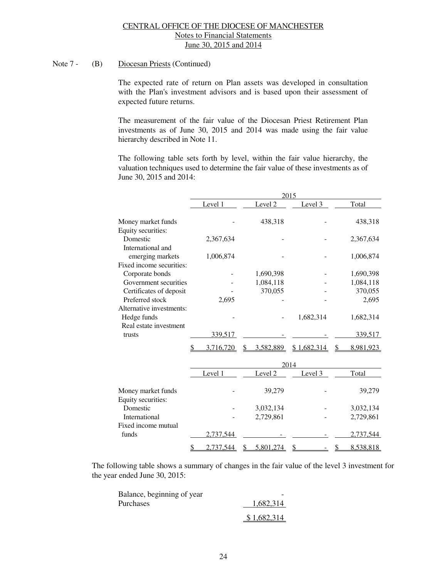# Note 7 - (B) Diocesan Priests (Continued)

The expected rate of return on Plan assets was developed in consultation with the Plan's investment advisors and is based upon their assessment of expected future returns.

 The measurement of the fair value of the Diocesan Priest Retirement Plan investments as of June 30, 2015 and 2014 was made using the fair value hierarchy described in Note 11.

 The following table sets forth by level, within the fair value hierarchy, the valuation techniques used to determine the fair value of these investments as of June 30, 2015 and 2014:

|                         | 2015                                                                                                           |                                                            |                   |  |
|-------------------------|----------------------------------------------------------------------------------------------------------------|------------------------------------------------------------|-------------------|--|
| Level 1                 | Level 2                                                                                                        | Level 3                                                    | Total             |  |
|                         | 438,318                                                                                                        |                                                            | 438,318           |  |
|                         |                                                                                                                |                                                            |                   |  |
| 2,367,634               |                                                                                                                |                                                            | 2,367,634         |  |
|                         |                                                                                                                |                                                            |                   |  |
|                         |                                                                                                                |                                                            | 1,006,874         |  |
|                         |                                                                                                                |                                                            |                   |  |
|                         |                                                                                                                |                                                            | 1,690,398         |  |
|                         |                                                                                                                |                                                            | 1,084,118         |  |
|                         | 370,055                                                                                                        |                                                            | 370,055           |  |
|                         |                                                                                                                |                                                            | 2,695             |  |
|                         |                                                                                                                |                                                            |                   |  |
|                         |                                                                                                                |                                                            | 1,682,314         |  |
|                         |                                                                                                                |                                                            |                   |  |
|                         |                                                                                                                |                                                            | 339,517           |  |
| 3,716,720               | 3,582,889                                                                                                      | \$1,682,314                                                | 8,981,923         |  |
|                         |                                                                                                                |                                                            |                   |  |
| Level 1                 | Level 2                                                                                                        | Level 3                                                    | Total             |  |
|                         |                                                                                                                |                                                            | 39,279            |  |
|                         |                                                                                                                |                                                            |                   |  |
|                         |                                                                                                                |                                                            | 3,032,134         |  |
|                         |                                                                                                                |                                                            | 2,729,861         |  |
|                         |                                                                                                                |                                                            |                   |  |
| 2,737,544               |                                                                                                                |                                                            | 2,737,544         |  |
|                         |                                                                                                                |                                                            |                   |  |
| Certificates of deposit | 1,006,874<br>Fixed income securities:<br>Government securities<br>2,695<br>Alternative investments:<br>339,517 | 1,690,398<br>1,084,118<br>39,279<br>3,032,134<br>2,729,861 | 1,682,314<br>2014 |  |

The following table shows a summary of changes in the fair value of the level 3 investment for the year ended June 30, 2015:

| Balance, beginning of year |             |
|----------------------------|-------------|
| Purchases                  | 1,682,314   |
|                            | \$1,682,314 |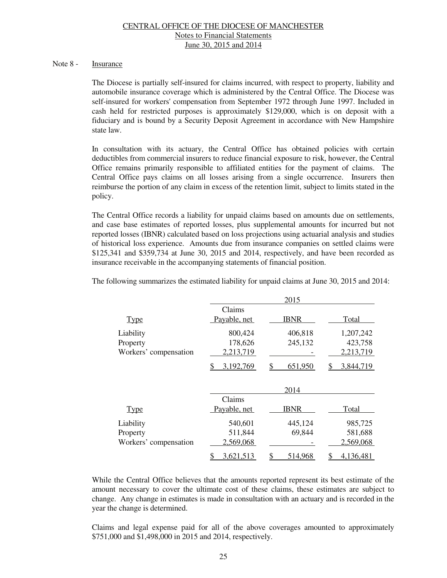# Note 8 - Insurance

 The Diocese is partially self-insured for claims incurred, with respect to property, liability and automobile insurance coverage which is administered by the Central Office. The Diocese was self-insured for workers' compensation from September 1972 through June 1997. Included in cash held for restricted purposes is approximately \$129,000, which is on deposit with a fiduciary and is bound by a Security Deposit Agreement in accordance with New Hampshire state law.

 In consultation with its actuary, the Central Office has obtained policies with certain deductibles from commercial insurers to reduce financial exposure to risk, however, the Central Office remains primarily responsible to affiliated entities for the payment of claims. The Central Office pays claims on all losses arising from a single occurrence. Insurers then reimburse the portion of any claim in excess of the retention limit, subject to limits stated in the policy.

 The Central Office records a liability for unpaid claims based on amounts due on settlements, and case base estimates of reported losses, plus supplemental amounts for incurred but not reported losses (IBNR) calculated based on loss projections using actuarial analysis and studies of historical loss experience. Amounts due from insurance companies on settled claims were \$125,341 and \$359,734 at June 30, 2015 and 2014, respectively, and have been recorded as insurance receivable in the accompanying statements of financial position.

|                       |                 | 2015        |           |
|-----------------------|-----------------|-------------|-----------|
|                       | Claims          |             |           |
| <b>Type</b>           | Payable, net    | <b>IBNR</b> | Total     |
| Liability             | 800,424         | 406,818     | 1,207,242 |
| Property              | 178,626         | 245,132     | 423,758   |
| Workers' compensation | 2,213,719       |             | 2,213,719 |
|                       | \$<br>3,192,769 | 651,950     | 3,844,719 |
|                       |                 | 2014        |           |
|                       | Claims          |             |           |
| <b>Type</b>           | Payable, net    | <b>IBNR</b> | Total     |
| Liability             | 540,601         | 445,124     | 985,725   |
| Property              | 511,844         | 69,844      | 581,688   |
| Workers' compensation |                 |             |           |
|                       | 2,569,068       |             | 2,569,068 |

The following summarizes the estimated liability for unpaid claims at June 30, 2015 and 2014:

 While the Central Office believes that the amounts reported represent its best estimate of the amount necessary to cover the ultimate cost of these claims, these estimates are subject to change. Any change in estimates is made in consultation with an actuary and is recorded in the year the change is determined.

 Claims and legal expense paid for all of the above coverages amounted to approximately \$751,000 and \$1,498,000 in 2015 and 2014, respectively.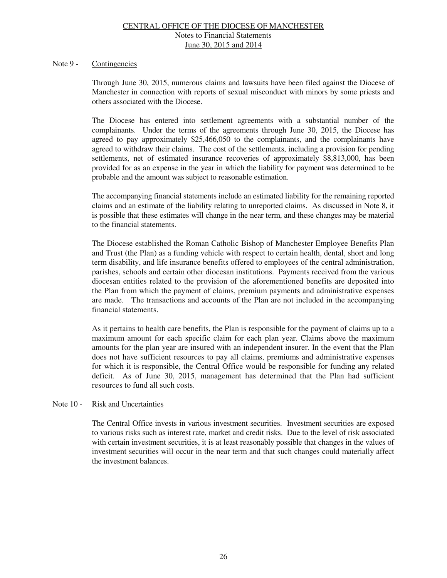### Note 9 - Contingencies

Through June 30, 2015, numerous claims and lawsuits have been filed against the Diocese of Manchester in connection with reports of sexual misconduct with minors by some priests and others associated with the Diocese.

The Diocese has entered into settlement agreements with a substantial number of the complainants. Under the terms of the agreements through June 30, 2015, the Diocese has agreed to pay approximately \$25,466,050 to the complainants, and the complainants have agreed to withdraw their claims. The cost of the settlements, including a provision for pending settlements, net of estimated insurance recoveries of approximately \$8,813,000, has been provided for as an expense in the year in which the liability for payment was determined to be probable and the amount was subject to reasonable estimation.

The accompanying financial statements include an estimated liability for the remaining reported claims and an estimate of the liability relating to unreported claims. As discussed in Note 8, it is possible that these estimates will change in the near term, and these changes may be material to the financial statements.

The Diocese established the Roman Catholic Bishop of Manchester Employee Benefits Plan and Trust (the Plan) as a funding vehicle with respect to certain health, dental, short and long term disability, and life insurance benefits offered to employees of the central administration, parishes, schools and certain other diocesan institutions. Payments received from the various diocesan entities related to the provision of the aforementioned benefits are deposited into the Plan from which the payment of claims, premium payments and administrative expenses are made. The transactions and accounts of the Plan are not included in the accompanying financial statements.

As it pertains to health care benefits, the Plan is responsible for the payment of claims up to a maximum amount for each specific claim for each plan year. Claims above the maximum amounts for the plan year are insured with an independent insurer. In the event that the Plan does not have sufficient resources to pay all claims, premiums and administrative expenses for which it is responsible, the Central Office would be responsible for funding any related deficit. As of June 30, 2015, management has determined that the Plan had sufficient resources to fund all such costs.

# Note 10 - Risk and Uncertainties

 The Central Office invests in various investment securities. Investment securities are exposed to various risks such as interest rate, market and credit risks. Due to the level of risk associated with certain investment securities, it is at least reasonably possible that changes in the values of investment securities will occur in the near term and that such changes could materially affect the investment balances.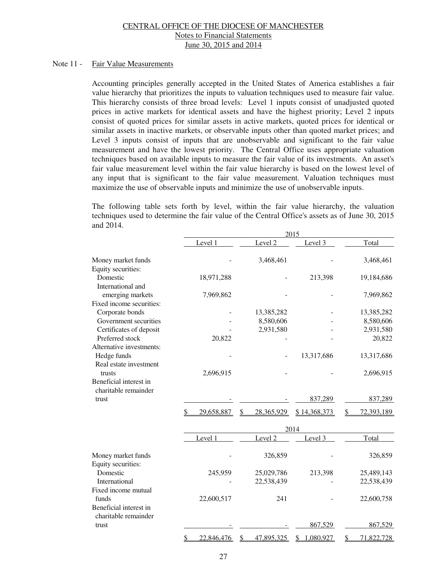### Note 11 - Fair Value Measurements

Accounting principles generally accepted in the United States of America establishes a fair value hierarchy that prioritizes the inputs to valuation techniques used to measure fair value. This hierarchy consists of three broad levels: Level 1 inputs consist of unadjusted quoted prices in active markets for identical assets and have the highest priority; Level 2 inputs consist of quoted prices for similar assets in active markets, quoted prices for identical or similar assets in inactive markets, or observable inputs other than quoted market prices; and Level 3 inputs consist of inputs that are unobservable and significant to the fair value measurement and have the lowest priority. The Central Office uses appropriate valuation techniques based on available inputs to measure the fair value of its investments. An asset's fair value measurement level within the fair value hierarchy is based on the lowest level of any input that is significant to the fair value measurement. Valuation techniques must maximize the use of observable inputs and minimize the use of unobservable inputs.

The following table sets forth by level, within the fair value hierarchy, the valuation techniques used to determine the fair value of the Central Office's assets as of June 30, 2015 and 2014.

|                                                | 2015             |                    |              |                  |
|------------------------------------------------|------------------|--------------------|--------------|------------------|
|                                                | Level 1          | Level <sub>2</sub> | Level 3      | Total            |
| Money market funds<br>Equity securities:       |                  | 3,468,461          |              | 3,468,461        |
| Domestic<br>International and                  | 18,971,288       |                    | 213,398      | 19,184,686       |
| emerging markets<br>Fixed income securities:   | 7,969,862        |                    |              | 7,969,862        |
| Corporate bonds                                |                  | 13,385,282         |              | 13,385,282       |
| Government securities                          |                  | 8,580,606          |              | 8,580,606        |
| Certificates of deposit                        |                  | 2,931,580          |              | 2,931,580        |
| Preferred stock<br>Alternative investments:    | 20,822           |                    |              | 20,822           |
| Hedge funds<br>Real estate investment          |                  |                    | 13,317,686   | 13,317,686       |
| trusts<br>Beneficial interest in               | 2,696,915        |                    |              | 2,696,915        |
| charitable remainder<br>trust                  |                  |                    | 837,289      | 837,289          |
|                                                | 29,658,887       | 28,365,929         | \$14,368,373 | 72,393,189<br>S  |
|                                                |                  |                    | 2014         |                  |
|                                                | Level 1          | Level <sub>2</sub> | Level 3      | Total            |
| Money market funds<br>Equity securities:       |                  | 326,859            |              | 326,859          |
| Domestic                                       | 245,959          | 25,029,786         | 213,398      | 25,489,143       |
| International                                  |                  | 22,538,439         |              | 22,538,439       |
| Fixed income mutual<br>funds                   | 22,600,517       | 241                |              | 22,600,758       |
| Beneficial interest in<br>charitable remainder |                  |                    |              |                  |
| trust                                          |                  |                    | 867,529      | 867,529          |
|                                                | \$<br>22,846,476 | \$<br>47,895,325   | 1,080,927    | \$<br>71,822,728 |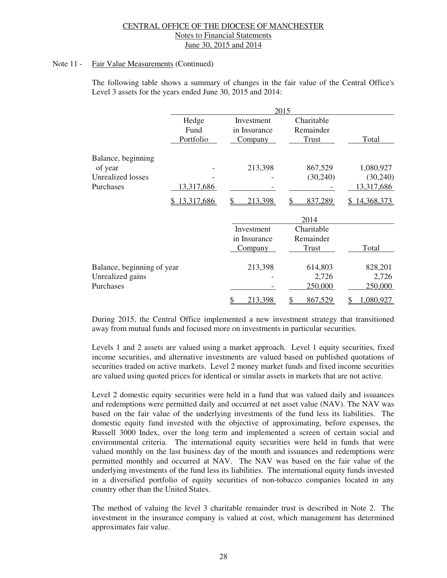# Note 11 - Fair Value Measurements (Continued)

The following table shows a summary of changes in the fair value of the Central Office's Level 3 assets for the years ended June 30, 2015 and 2014:

|                            |               | 2015                       |                         |              |  |
|----------------------------|---------------|----------------------------|-------------------------|--------------|--|
|                            | Hedge<br>Fund | Investment<br>in Insurance | Charitable<br>Remainder |              |  |
|                            | Portfolio     | Company                    | Trust                   | Total        |  |
| Balance, beginning         |               |                            |                         |              |  |
| of year                    |               | 213,398                    | 867,529                 | 1,080,927    |  |
| <b>Unrealized losses</b>   |               |                            | (30,240)                | (30,240)     |  |
| Purchases                  | 13,317,686    |                            |                         | 13,317,686   |  |
|                            | \$13,317,686  | 213,398                    | 837,289                 | \$14,368,373 |  |
|                            |               |                            | 2014                    |              |  |
|                            |               | Investment                 | Charitable              |              |  |
|                            |               | in Insurance               | Remainder               |              |  |
|                            |               | <u>Company</u>             | <b>Trust</b>            | Total        |  |
| Balance, beginning of year |               | 213,398                    | 614,803                 | 828,201      |  |
| Unrealized gains           |               |                            | 2,726                   | 2,726        |  |
| Purchases                  |               |                            | 250,000                 | 250,000      |  |
|                            |               | 213,398                    | 867,529                 | 1,080,927    |  |

During 2015, the Central Office implemented a new investment strategy that transitioned away from mutual funds and focused more on investments in particular securities.

Levels 1 and 2 assets are valued using a market approach. Level 1 equity securities, fixed income securities, and alternative investments are valued based on published quotations of securities traded on active markets. Level 2 money market funds and fixed income securities are valued using quoted prices for identical or similar assets in markets that are not active.

Level 2 domestic equity securities were held in a fund that was valued daily and issuances and redemptions were permitted daily and occurred at net asset value (NAV). The NAV was based on the fair value of the underlying investments of the fund less its liabilities. The domestic equity fund invested with the objective of approximating, before expenses, the Russell 3000 Index, over the long term and implemented a screen of certain social and environmental criteria. The international equity securities were held in funds that were valued monthly on the last business day of the month and issuances and redemptions were permitted monthly and occurred at NAV. The NAV was based on the fair value of the underlying investments of the fund less its liabilities. The international equity funds invested in a diversified portfolio of equity securities of non-tobacco companies located in any country other than the United States.

The method of valuing the level 3 charitable remainder trust is described in Note 2. The investment in the insurance company is valued at cost, which management has determined approximates fair value.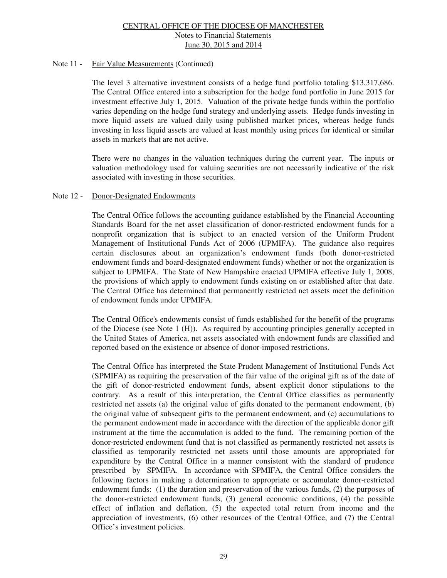## Note 11 - Fair Value Measurements (Continued)

The level 3 alternative investment consists of a hedge fund portfolio totaling \$13,317,686. The Central Office entered into a subscription for the hedge fund portfolio in June 2015 for investment effective July 1, 2015. Valuation of the private hedge funds within the portfolio varies depending on the hedge fund strategy and underlying assets. Hedge funds investing in more liquid assets are valued daily using published market prices, whereas hedge funds investing in less liquid assets are valued at least monthly using prices for identical or similar assets in markets that are not active.

There were no changes in the valuation techniques during the current year. The inputs or valuation methodology used for valuing securities are not necessarily indicative of the risk associated with investing in those securities.

### Note 12 - Donor-Designated Endowments

The Central Office follows the accounting guidance established by the Financial Accounting Standards Board for the net asset classification of donor-restricted endowment funds for a nonprofit organization that is subject to an enacted version of the Uniform Prudent Management of Institutional Funds Act of 2006 (UPMIFA). The guidance also requires certain disclosures about an organization's endowment funds (both donor-restricted endowment funds and board-designated endowment funds) whether or not the organization is subject to UPMIFA. The State of New Hampshire enacted UPMIFA effective July 1, 2008, the provisions of which apply to endowment funds existing on or established after that date. The Central Office has determined that permanently restricted net assets meet the definition of endowment funds under UPMIFA.

The Central Office's endowments consist of funds established for the benefit of the programs of the Diocese (see Note 1 (H)). As required by accounting principles generally accepted in the United States of America, net assets associated with endowment funds are classified and reported based on the existence or absence of donor-imposed restrictions.

The Central Office has interpreted the State Prudent Management of Institutional Funds Act (SPMIFA) as requiring the preservation of the fair value of the original gift as of the date of the gift of donor-restricted endowment funds, absent explicit donor stipulations to the contrary. As a result of this interpretation, the Central Office classifies as permanently restricted net assets (a) the original value of gifts donated to the permanent endowment, (b) the original value of subsequent gifts to the permanent endowment, and (c) accumulations to the permanent endowment made in accordance with the direction of the applicable donor gift instrument at the time the accumulation is added to the fund. The remaining portion of the donor-restricted endowment fund that is not classified as permanently restricted net assets is classified as temporarily restricted net assets until those amounts are appropriated for expenditure by the Central Office in a manner consistent with the standard of prudence prescribed by SPMIFA. In accordance with SPMIFA, the Central Office considers the following factors in making a determination to appropriate or accumulate donor-restricted endowment funds: (1) the duration and preservation of the various funds, (2) the purposes of the donor-restricted endowment funds, (3) general economic conditions, (4) the possible effect of inflation and deflation, (5) the expected total return from income and the appreciation of investments, (6) other resources of the Central Office, and (7) the Central Office's investment policies.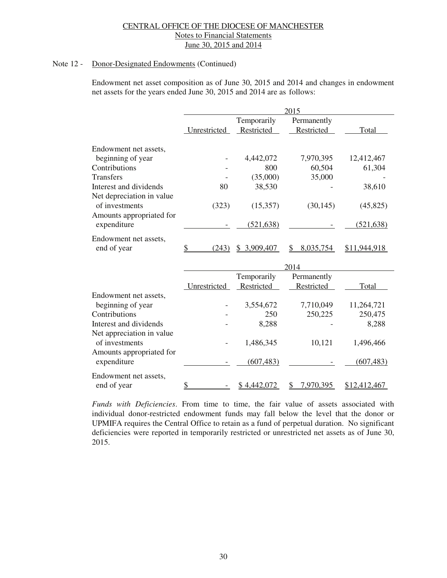# Note 12 - Donor-Designated Endowments (Continued)

Endowment net asset composition as of June 30, 2015 and 2014 and changes in endowment net assets for the years ended June 30, 2015 and 2014 are as follows:

|                                             | 2015         |              |                  |              |
|---------------------------------------------|--------------|--------------|------------------|--------------|
|                                             |              | Temporarily  | Permanently      |              |
|                                             | Unrestricted | Restricted   | Restricted       | Total        |
| Endowment net assets,                       |              |              |                  |              |
| beginning of year                           |              | 4,442,072    | 7,970,395        | 12,412,467   |
| Contributions                               |              | 800          | 60,504           | 61,304       |
| <b>Transfers</b>                            |              | (35,000)     | 35,000           |              |
| Interest and dividends                      | 80           | 38,530       |                  | 38,610       |
| Net depreciation in value<br>of investments | (323)        | (15,357)     | (30, 145)        | (45, 825)    |
| Amounts appropriated for<br>expenditure     |              | (521, 638)   |                  | (521, 638)   |
| Endowment net assets,<br>end of year        | (243)        | \$ 3,909,407 | 8,035,754<br>\$. | \$11,944,918 |

|                                             | 2014         |             |             |              |
|---------------------------------------------|--------------|-------------|-------------|--------------|
|                                             |              | Temporarily | Permanently |              |
|                                             | Unrestricted | Restricted  | Restricted  | Total        |
| Endowment net assets,                       |              |             |             |              |
| beginning of year                           |              | 3,554,672   | 7,710,049   | 11,264,721   |
| Contributions                               |              | 250         | 250,225     | 250,475      |
| Interest and dividends                      |              | 8,288       |             | 8,288        |
| Net appreciation in value<br>of investments |              | 1,486,345   | 10,121      | 1,496,466    |
| Amounts appropriated for<br>expenditure     |              | (607, 483)  |             | (607, 483)   |
| Endowment net assets,<br>end of year        |              | \$4,442,072 | 7,970,395   | \$12,412,467 |

*Funds with Deficiencies*. From time to time, the fair value of assets associated with individual donor-restricted endowment funds may fall below the level that the donor or UPMIFA requires the Central Office to retain as a fund of perpetual duration. No significant deficiencies were reported in temporarily restricted or unrestricted net assets as of June 30, 2015.